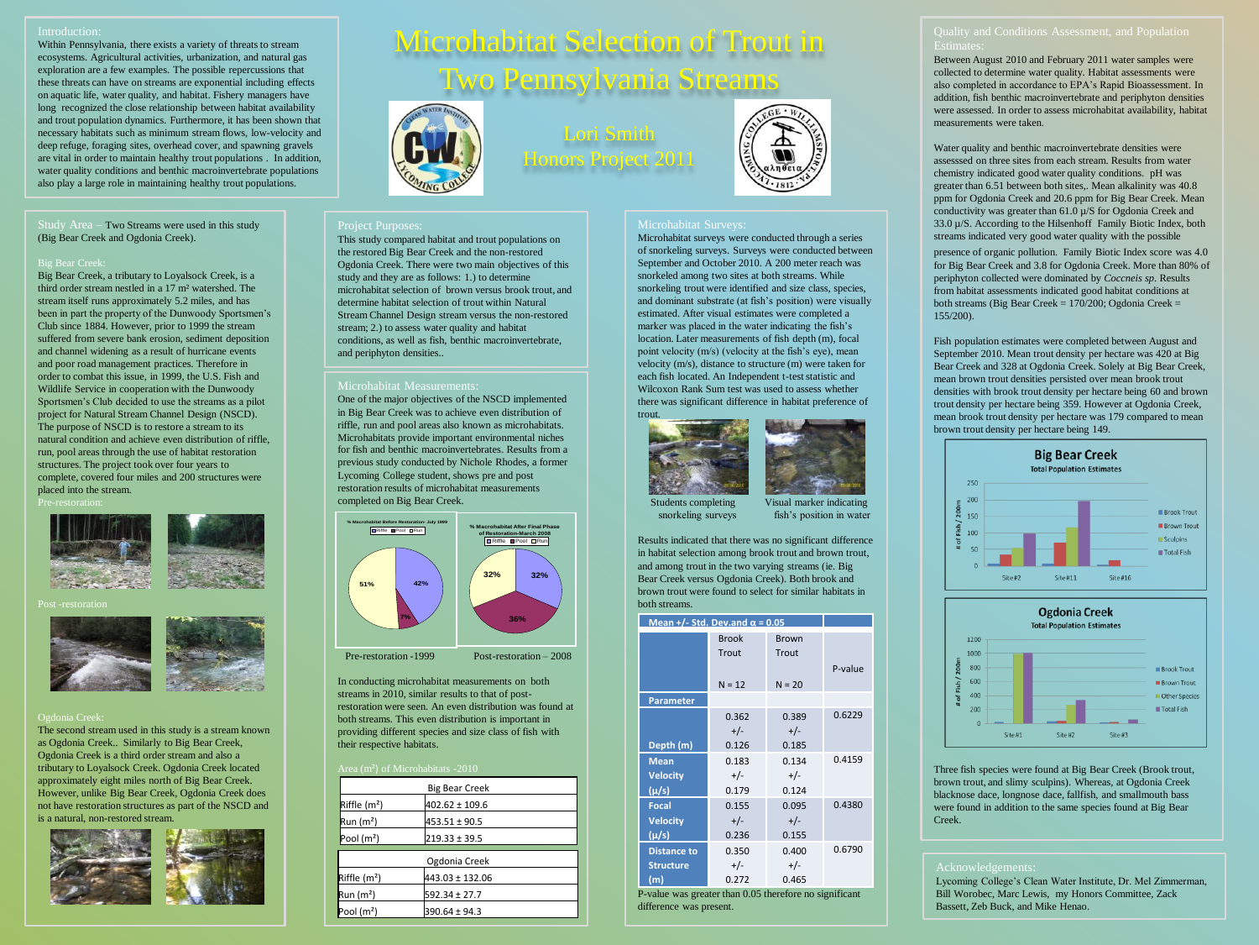Within Pennsylvania, there exists a variety of threats to stream ecosystems. Agricultural activities, urbanization, and natural gas exploration are a few examples. The possible repercussions that these threats can have on streams are exponential including effects on aquatic life, water quality, and habitat. Fishery managers have long recognized the close relationship between habitat availability and trout population dynamics. Furthermore, it has been shown that necessary habitats such as minimum stream flows, low-velocity and deep refuge, foraging sites, overhead cover, and spawning gravels are vital in order to maintain healthy trout populations . In addition, water quality conditions and benthic macroinvertebrate populations also play a large role in maintaining healthy trout populations.

Study Area – Two Streams were used in this study (Big Bear Creek and Ogdonia Creek).

Big Bear Creek, a tributary to Loyalsock Creek, is a third order stream nestled in a 17 m² watershed. The stream itself runs approximately 5.2 miles, and has been in part the property of the Dunwoody Sportsmen's Club since 1884. However, prior to 1999 the stream suffered from severe bank erosion, sediment deposition and channel widening as a result of hurricane events and poor road management practices. Therefore in order to combat this issue, in 1999, the U.S. Fish and Wildlife Service in cooperation with the Dunwoody Sportsmen's Club decided to use the streams as a pilot project for Natural Stream Channel Design (NSCD). The purpose of NSCD is to restore a stream to its natural condition and achieve even distribution of riffle, run, pool areas through the use of habitat restoration structures. The project took over four years to complete, covered four miles and 200 structures were placed into the stream.



Post -restoration



The second stream used in this study is a stream known as Ogdonia Creek.. Similarly to Big Bear Creek, Ogdonia Creek is a third order stream and also a tributary to Loyalsock Creek. Ogdonia Creek located approximately eight miles north of Big Bear Creek. However, unlike Big Bear Creek, Ogdonia Creek does not have restoration structures as part of the NSCD and is a natural, non-restored stream.



# Microhabitat Selection of Trout in wo Pennsylvania Streams



and periphyton densities..

Microhabitat Measurement

completed on Big Bear Creek.

**% Macrohabitat Before Restoration- July 1999**

**51%**

their respective habitats.

 $Riffle (m^2)$   $402.62 \pm 109.6$ Run (m<sup>2</sup>)  $453.51 \pm 90.5$ Pool (m<sup>2</sup>)  $219.33 \pm 39.5$ 

Riffle  $(m^2)$  443.03 ± 132.06 Run  $(m^2)$  592.34 ± 27.7 Pool (m<sup>2</sup>)  $390.64 \pm 94.3$ 

This study compared habitat and trout populations on the restored Big Bear Creek and the non-restored Ogdonia Creek. There were two main objectives of this study and they are as follows: 1.) to determine microhabitat selection of brown versus brook trout, and determine habitat selection of trout within Natural Stream Channel Design stream versus the non-restored stream; 2.) to assess water quality and habitat conditions, as well as fish, benthic macroinvertebrate,

One of the major objectives of the NSCD implemented in Big Bear Creek was to achieve even distribution of riffle, run and pool areas also known as microhabitats. Microhabitats provide important environmental niches for fish and benthic macroinvertebrates. Results from a previous study conducted by Nichole Rhodes, a former Lycoming College student, shows pre and post restoration results of microhabitat measurements

 Pre-restoration -1999 Post-restoration – 2008 In conducting microhabitat measurements on both streams in 2010, similar results to that of postrestoration were seen. An even distribution was found at both streams. This even distribution is important in providing different species and size class of fish with

Big Bear Creek

Ogdonia Creek

Riffle Pool Run **% Macrohabitat After Final Phase of Restoration-March 2008** Riffle Pool Run

**32%**

**32%**

**36%**

**42%**

**7%**

## Lori Smith Honors Project 2011



### Microhabitat Surveys:

Microhabitat surveys were conducted through a series of snorkeling surveys. Surveys were conducted between September and October 2010. A 200 meter reach was snorkeled among two sites at both streams. While snorkeling trout were identified and size class, species, and dominant substrate (at fish's position) were visually estimated. After visual estimates were completed a marker was placed in the water indicating the fish's location. Later measurements of fish depth (m), focal point velocity (m/s) (velocity at the fish's eye), mean velocity (m/s), distance to structure (m) were taken for each fish located. An Independent t-test statistic and Wilcoxon Rank Sum test was used to assess whether there was significant difference in habitat preference of trout.



Students completing Visual marker indicating<br>snorkeling surveys fish's position in water fish's position in water

Results indicated that there was no significant difference in habitat selection among brook trout and brown trout, and among trout in the two varying streams (ie. Big Bear Creek versus Ogdonia Creek). Both brook and brown trout were found to select for similar habitats in both streams.

| Mean +/- Std. Dev.and $\alpha$ = 0.05 |              |              |         |
|---------------------------------------|--------------|--------------|---------|
|                                       | <b>Brook</b> | <b>Brown</b> |         |
|                                       | Trout        | Trout        |         |
|                                       |              |              | P-value |
|                                       | $N = 12$     | $N = 20$     |         |
| <b>Parameter</b>                      |              |              |         |
|                                       | 0.362        | 0.389        | 0.6229  |
|                                       | $+/-$        | $+/-$        |         |
| Depth (m)                             | 0.126        | 0.185        |         |
| <b>Mean</b>                           | 0.183        | 0.134        | 0.4159  |
| <b>Velocity</b>                       | $+/-$        | $+/-$        |         |
| $(\mu/s)$                             | 0.179        | 0.124        |         |
| <b>Focal</b>                          | 0.155        | 0.095        | 0.4380  |
| <b>Velocity</b>                       | $+/-$        | $+/-$        |         |
| $(\mu/s)$                             | 0.236        | 0.155        |         |
| <b>Distance to</b>                    | 0.350        | 0.400        | 0.6790  |
| <b>Structure</b>                      | $+/-$        | $+/-$        |         |
| (m)                                   | 0.272        | 0.465        |         |

P-value was greater than 0.05 therefore no significant difference was present.

Between August 2010 and February 2011 water samples were collected to determine water quality. Habitat assessments were also completed in accordance to EPA's Rapid Bioassessment. In addition, fish benthic macroinvertebrate and periphyton densities were assessed. In order to assess microhabitat availability, habitat measurements were taken.

Water quality and benthic macroinvertebrate densities were assesssed on three sites from each stream. Results from water chemistry indicated good water quality conditions. pH was greater than 6.51 between both sites,. Mean alkalinity was 40.8 ppm for Ogdonia Creek and 20.6 ppm for Big Bear Creek. Mean conductivity was greater than 61.0 µ/S for Ogdonia Creek and 33.0 µ/S. According to the Hilsenhoff Family Biotic Index, both streams indicated very good water quality with the possible

presence of organic pollution. Family Biotic Index score was 4.0 for Big Bear Creek and 3.8 for Ogdonia Creek. More than 80% of periphyton collected were dominated by *Coccneis sp*. Results from habitat assessments indicated good habitat conditions at both streams (Big Bear Creek = 170/200; Ogdonia Creek = 155/200).

Fish population estimates were completed between August and September 2010. Mean trout density per hectare was 420 at Big Bear Creek and 328 at Ogdonia Creek. Solely at Big Bear Creek, mean brown trout densities persisted over mean brook trout densities with brook trout density per hectare being 60 and brown trout density per hectare being 359. However at Ogdonia Creek, mean brook trout density per hectare was 179 compared to mean brown trout density per hectare being 149.





Three fish species were found at Big Bear Creek (Brook trout, brown trout, and slimy sculpins). Whereas, at Ogdonia Creek blacknose dace, longnose dace, fallfish, and smallmouth bass were found in addition to the same species found at Big Bear Creek.

Lycoming College's Clean Water Institute, Dr. Mel Zimmerman, Bill Worobec, Marc Lewis, my Honors Committee, Zack Bassett, Zeb Buck, and Mike Henao.